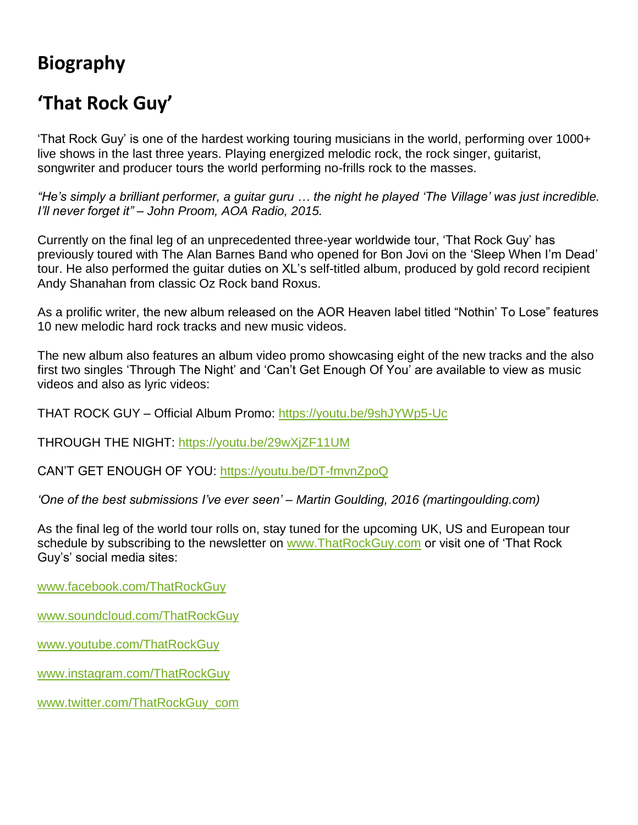## **Biography**

## **'That Rock Guy'**

'That Rock Guy' is one of the hardest working touring musicians in the world, performing over 1000+ live shows in the last three years. Playing energized melodic rock, the rock singer, guitarist, songwriter and producer tours the world performing no-frills rock to the masses.

*"He's simply a brilliant performer, a guitar guru … the night he played 'The Village' was just incredible. I'll never forget it" – John Proom, AOA Radio, 2015.*

Currently on the final leg of an unprecedented three-year worldwide tour, 'That Rock Guy' has previously toured with The Alan Barnes Band who opened for Bon Jovi on the 'Sleep When I'm Dead' tour. He also performed the guitar duties on XL's self-titled album, produced by gold record recipient Andy Shanahan from classic Oz Rock band Roxus.

As a prolific writer, the new album released on the AOR Heaven label titled "Nothin' To Lose" features 10 new melodic hard rock tracks and new music videos.

The new album also features an album video promo showcasing eight of the new tracks and the also first two singles 'Through The Night' and 'Can't Get Enough Of You' are available to view as music videos and also as lyric videos:

THAT ROCK GUY – Official Album Promo:<https://youtu.be/9shJYWp5-Uc>

THROUGH THE NIGHT:<https://youtu.be/29wXjZF11UM>

CAN'T GET ENOUGH OF YOU: <https://youtu.be/DT-fmvnZpoQ>

*'One of the best submissions I've ever seen' – Martin Goulding, 2016 (martingoulding.com)*

As the final leg of the world tour rolls on, stay tuned for the upcoming UK, US and European tour schedule by subscribing to the newsletter on [www.ThatRockGuy.com](http://www.thatrockguy.com/) or visit one of 'That Rock Guy's' social media sites:

[www.facebook.com/ThatRockGuy](http://www.facebook.com/ThatRockGuy)

[www.soundcloud.com/ThatRockGuy](http://www.soundcloud.com/ThatRockGuy)

[www.youtube.com/ThatRockGuy](http://www.youtube.com/ThatRockGuy)

[www.instagram.com/ThatRockGuy](http://www.instagram.com/ThatRockGuy)

[www.twitter.com/ThatRockGuy\\_com](http://www.twitter.com/ThatRockGuy_com)